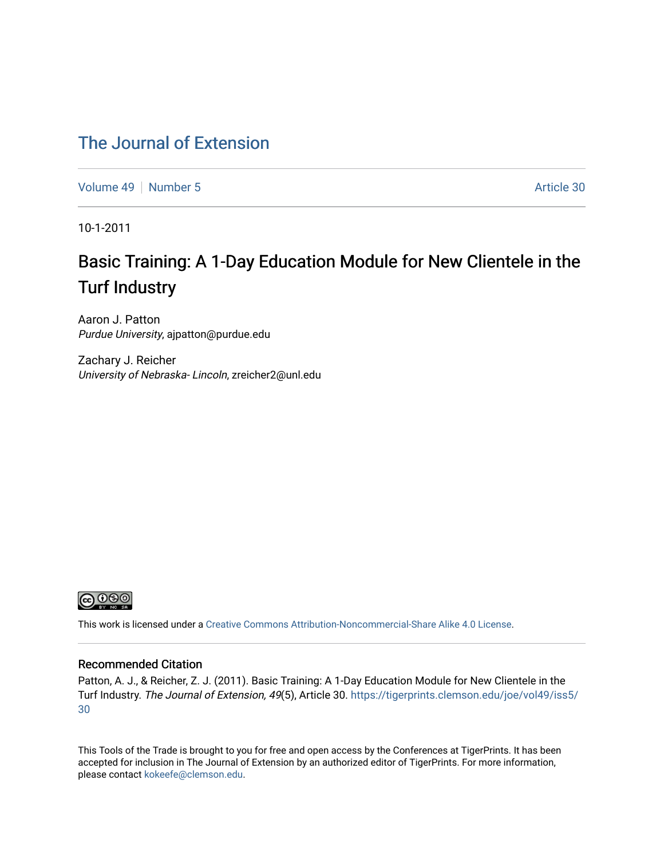### [The Journal of Extension](https://tigerprints.clemson.edu/joe)

[Volume 49](https://tigerprints.clemson.edu/joe/vol49) [Number 5](https://tigerprints.clemson.edu/joe/vol49/iss5) Article 30

10-1-2011

# Basic Training: A 1-Day Education Module for New Clientele in the Turf Industry

Aaron J. Patton Purdue University, ajpatton@purdue.edu

Zachary J. Reicher University of Nebraska- Lincoln, zreicher2@unl.edu



This work is licensed under a [Creative Commons Attribution-Noncommercial-Share Alike 4.0 License.](https://creativecommons.org/licenses/by-nc-sa/4.0/)

#### Recommended Citation

Patton, A. J., & Reicher, Z. J. (2011). Basic Training: A 1-Day Education Module for New Clientele in the Turf Industry. The Journal of Extension, 49(5), Article 30. [https://tigerprints.clemson.edu/joe/vol49/iss5/](https://tigerprints.clemson.edu/joe/vol49/iss5/30) [30](https://tigerprints.clemson.edu/joe/vol49/iss5/30)

This Tools of the Trade is brought to you for free and open access by the Conferences at TigerPrints. It has been accepted for inclusion in The Journal of Extension by an authorized editor of TigerPrints. For more information, please contact [kokeefe@clemson.edu](mailto:kokeefe@clemson.edu).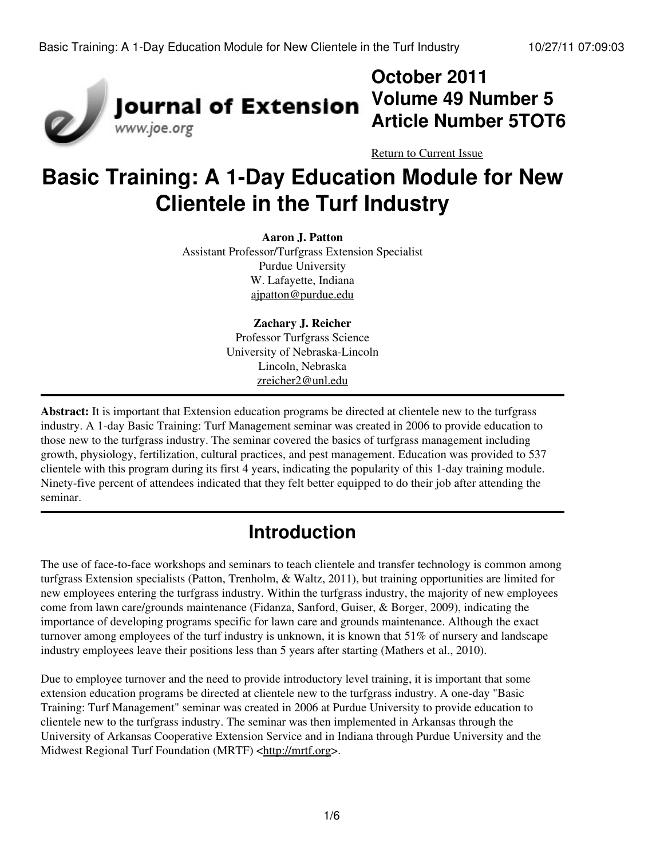

# **October 2011 Volume 49 Number 5 Article Number 5TOT6**

[Return to Current Issue](http://www.joe.org:80/joe/2011october/)

# **Basic Training: A 1-Day Education Module for New Clientele in the Turf Industry**

#### **Aaron J. Patton**

Assistant Professor/Turfgrass Extension Specialist Purdue University W. Lafayette, Indiana [ajpatton@purdue.edu](mailto:ajpatton@purdue.edu)

> **Zachary J. Reicher** Professor Turfgrass Science University of Nebraska-Lincoln Lincoln, Nebraska [zreicher2@unl.edu](mailto:zreicher2@unl.edu)

**Abstract:** It is important that Extension education programs be directed at clientele new to the turfgrass industry. A 1-day Basic Training: Turf Management seminar was created in 2006 to provide education to those new to the turfgrass industry. The seminar covered the basics of turfgrass management including growth, physiology, fertilization, cultural practices, and pest management. Education was provided to 537 clientele with this program during its first 4 years, indicating the popularity of this 1-day training module. Ninety-five percent of attendees indicated that they felt better equipped to do their job after attending the seminar.

# **Introduction**

The use of face-to-face workshops and seminars to teach clientele and transfer technology is common among turfgrass Extension specialists (Patton, Trenholm, & Waltz, 2011), but training opportunities are limited for new employees entering the turfgrass industry. Within the turfgrass industry, the majority of new employees come from lawn care/grounds maintenance (Fidanza, Sanford, Guiser, & Borger, 2009), indicating the importance of developing programs specific for lawn care and grounds maintenance. Although the exact turnover among employees of the turf industry is unknown, it is known that 51% of nursery and landscape industry employees leave their positions less than 5 years after starting (Mathers et al., 2010).

Due to employee turnover and the need to provide introductory level training, it is important that some extension education programs be directed at clientele new to the turfgrass industry. A one-day "Basic Training: Turf Management" seminar was created in 2006 at Purdue University to provide education to clientele new to the turfgrass industry. The seminar was then implemented in Arkansas through the University of Arkansas Cooperative Extension Service and in Indiana through Purdue University and the Midwest Regional Turf Foundation (MRTF) <[http://mrtf.org](http://mrtf.org/)>.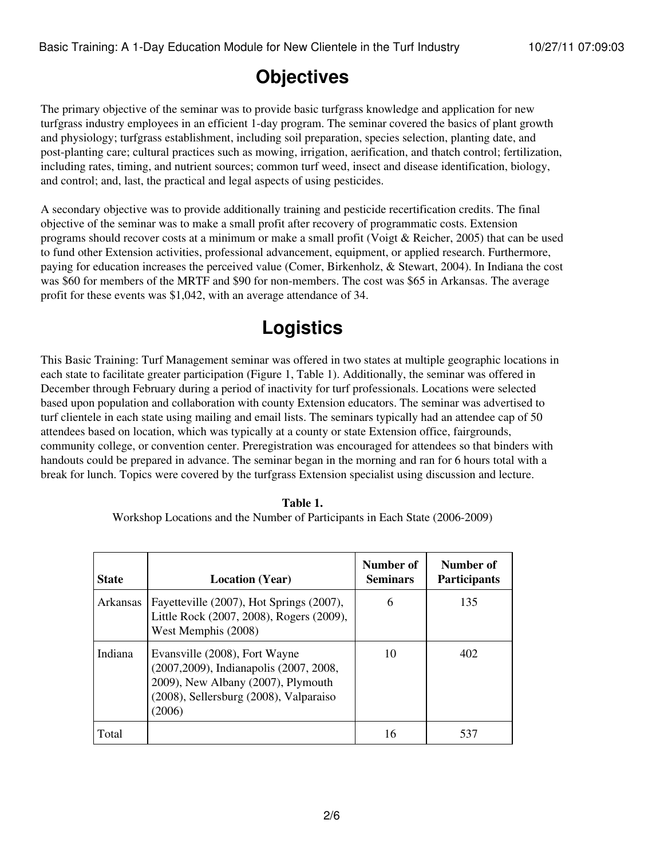### **Objectives**

The primary objective of the seminar was to provide basic turfgrass knowledge and application for new turfgrass industry employees in an efficient 1-day program. The seminar covered the basics of plant growth and physiology; turfgrass establishment, including soil preparation, species selection, planting date, and post-planting care; cultural practices such as mowing, irrigation, aerification, and thatch control; fertilization, including rates, timing, and nutrient sources; common turf weed, insect and disease identification, biology, and control; and, last, the practical and legal aspects of using pesticides.

A secondary objective was to provide additionally training and pesticide recertification credits. The final objective of the seminar was to make a small profit after recovery of programmatic costs. Extension programs should recover costs at a minimum or make a small profit (Voigt & Reicher, 2005) that can be used to fund other Extension activities, professional advancement, equipment, or applied research. Furthermore, paying for education increases the perceived value (Comer, Birkenholz, & Stewart, 2004). In Indiana the cost was \$60 for members of the MRTF and \$90 for non-members. The cost was \$65 in Arkansas. The average profit for these events was \$1,042, with an average attendance of 34.

# **Logistics**

This Basic Training: Turf Management seminar was offered in two states at multiple geographic locations in each state to facilitate greater participation (Figure 1, Table 1). Additionally, the seminar was offered in December through February during a period of inactivity for turf professionals. Locations were selected based upon population and collaboration with county Extension educators. The seminar was advertised to turf clientele in each state using mailing and email lists. The seminars typically had an attendee cap of 50 attendees based on location, which was typically at a county or state Extension office, fairgrounds, community college, or convention center. Preregistration was encouraged for attendees so that binders with handouts could be prepared in advance. The seminar began in the morning and ran for 6 hours total with a break for lunch. Topics were covered by the turfgrass Extension specialist using discussion and lecture.

| Table 1.                                                                    |
|-----------------------------------------------------------------------------|
| Workshop Locations and the Number of Participants in Each State (2006-2009) |

| <b>State</b> | <b>Location</b> (Year)                                                                                                                                             | Number of<br><b>Seminars</b> | Number of<br><b>Participants</b> |
|--------------|--------------------------------------------------------------------------------------------------------------------------------------------------------------------|------------------------------|----------------------------------|
| Arkansas     | Fayetteville (2007), Hot Springs (2007),<br>Little Rock (2007, 2008), Rogers (2009),<br>West Memphis (2008)                                                        | 6                            | 135                              |
| Indiana      | Evansville (2008), Fort Wayne<br>(2007, 2009), Indianapolis (2007, 2008,<br>2009), New Albany (2007), Plymouth<br>(2008), Sellersburg (2008), Valparaiso<br>(2006) | 10                           | 402                              |
| Total        |                                                                                                                                                                    | 16                           | 537                              |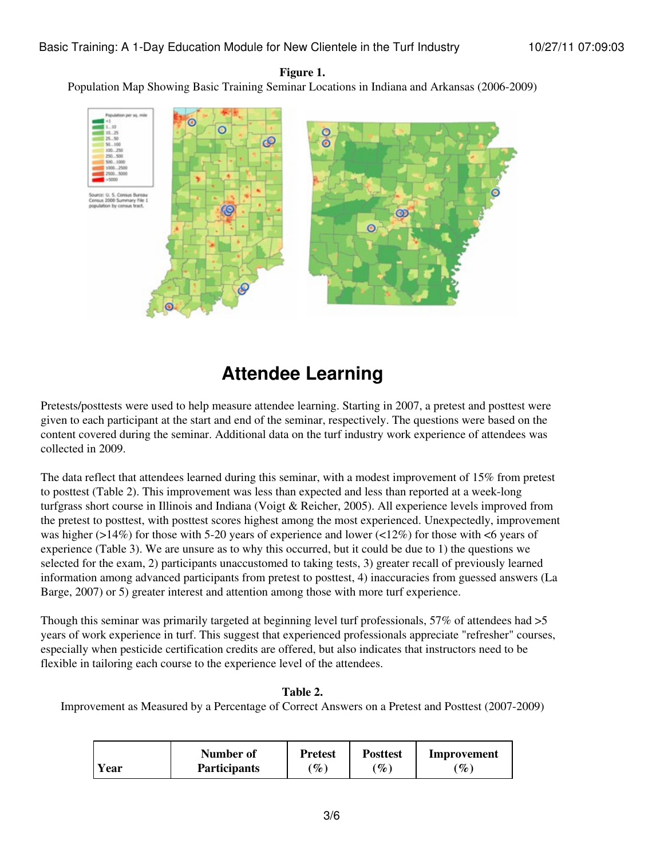#### **Figure 1.**

Population Map Showing Basic Training Seminar Locations in Indiana and Arkansas (2006-2009)



### **Attendee Learning**

Pretests/posttests were used to help measure attendee learning. Starting in 2007, a pretest and posttest were given to each participant at the start and end of the seminar, respectively. The questions were based on the content covered during the seminar. Additional data on the turf industry work experience of attendees was collected in 2009.

The data reflect that attendees learned during this seminar, with a modest improvement of 15% from pretest to posttest (Table 2). This improvement was less than expected and less than reported at a week-long turfgrass short course in Illinois and Indiana (Voigt & Reicher, 2005). All experience levels improved from the pretest to posttest, with posttest scores highest among the most experienced. Unexpectedly, improvement was higher ( $>14\%$ ) for those with 5-20 years of experience and lower ( $<12\%$ ) for those with  $<$ 6 years of experience (Table 3). We are unsure as to why this occurred, but it could be due to 1) the questions we selected for the exam, 2) participants unaccustomed to taking tests, 3) greater recall of previously learned information among advanced participants from pretest to posttest, 4) inaccuracies from guessed answers (La Barge, 2007) or 5) greater interest and attention among those with more turf experience.

Though this seminar was primarily targeted at beginning level turf professionals, 57% of attendees had >5 years of work experience in turf. This suggest that experienced professionals appreciate "refresher" courses, especially when pesticide certification credits are offered, but also indicates that instructors need to be flexible in tailoring each course to the experience level of the attendees.

#### **Table 2.**

Improvement as Measured by a Percentage of Correct Answers on a Pretest and Posttest (2007-2009)

|      | Number of           | <b>Pretest</b>    | <b>Posttest</b>      | Improvement     |
|------|---------------------|-------------------|----------------------|-----------------|
| Year | <b>Participants</b> | $\mathscr{C}_o$ , | $\mathscr{Y}_{\ell}$ | $^{\prime}\%$ , |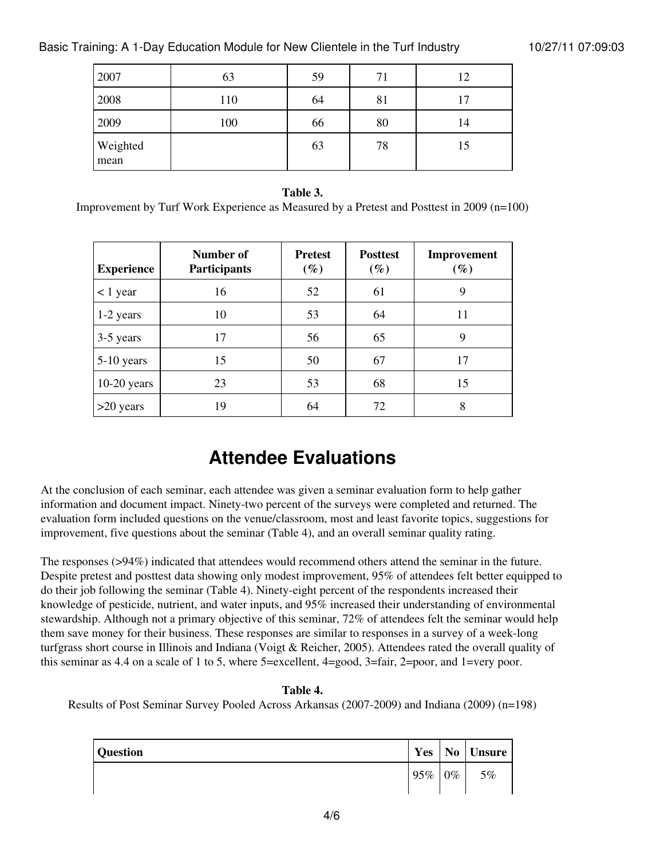| 2007             | 63  | 59 | 71 | 12 |
|------------------|-----|----|----|----|
| 2008             | 110 | 64 | 81 | 17 |
| 2009             | 100 | 66 | 80 | 14 |
| Weighted<br>mean |     | 63 | 78 | 15 |

#### **Table 3.**

Improvement by Turf Work Experience as Measured by a Pretest and Posttest in 2009 (n=100)

| <b>Experience</b> | Number of<br>Participants | <b>Pretest</b><br>$(\%)$ | <b>Posttest</b><br>$(\%)$ | Improvement<br>$(\%)$ |
|-------------------|---------------------------|--------------------------|---------------------------|-----------------------|
| $<$ 1 year        | 16                        | 52                       | 61                        | 9                     |
| 1-2 years         | 10                        | 53                       | 64                        | 11                    |
| 3-5 years         | 17                        | 56                       | 65                        | 9                     |
| 5-10 years        | 15                        | 50                       | 67                        | 17                    |
| $10-20$ years     | 23                        | 53                       | 68                        | 15                    |
| >20 years         | 19                        | 64                       | 72                        | 8                     |

### **Attendee Evaluations**

At the conclusion of each seminar, each attendee was given a seminar evaluation form to help gather information and document impact. Ninety-two percent of the surveys were completed and returned. The evaluation form included questions on the venue/classroom, most and least favorite topics, suggestions for improvement, five questions about the seminar (Table 4), and an overall seminar quality rating.

The responses (>94%) indicated that attendees would recommend others attend the seminar in the future. Despite pretest and posttest data showing only modest improvement, 95% of attendees felt better equipped to do their job following the seminar (Table 4). Ninety-eight percent of the respondents increased their knowledge of pesticide, nutrient, and water inputs, and 95% increased their understanding of environmental stewardship. Although not a primary objective of this seminar, 72% of attendees felt the seminar would help them save money for their business. These responses are similar to responses in a survey of a week-long turfgrass short course in Illinois and Indiana (Voigt & Reicher, 2005). Attendees rated the overall quality of this seminar as 4.4 on a scale of 1 to 5, where 5=excellent, 4=good, 3=fair, 2=poor, and 1=very poor.

#### **Table 4.**

Results of Post Seminar Survey Pooled Across Arkansas (2007-2009) and Indiana (2009) (n=198)

| <b>Question</b> | Yes |       | No Unsure |
|-----------------|-----|-------|-----------|
|                 | 95% | $0\%$ | 5%        |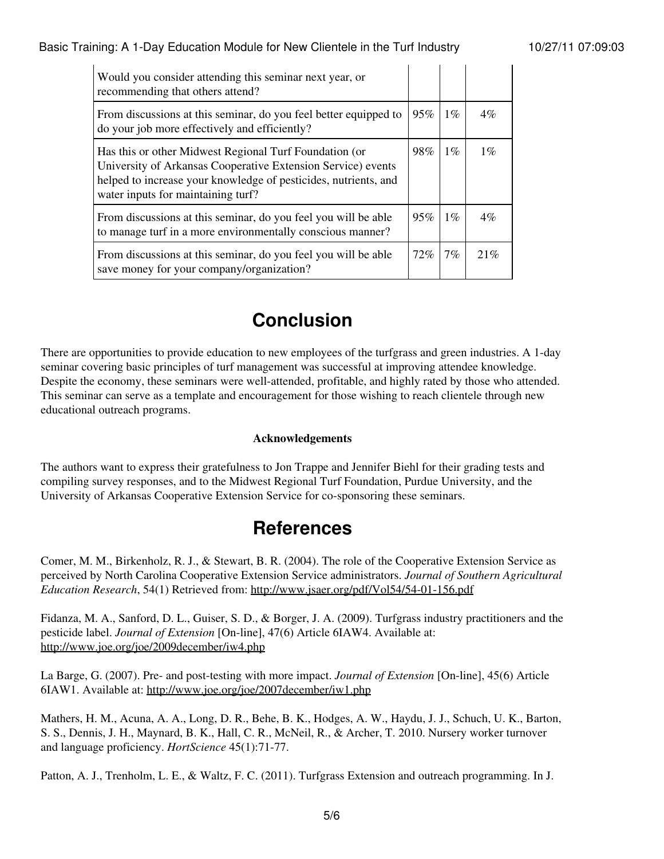| Would you consider attending this seminar next year, or<br>recommending that others attend?                                                                                                                                     |        |       |       |
|---------------------------------------------------------------------------------------------------------------------------------------------------------------------------------------------------------------------------------|--------|-------|-------|
| From discussions at this seminar, do you feel better equipped to<br>do your job more effectively and efficiently?                                                                                                               | $95\%$ | $1\%$ | $4\%$ |
| Has this or other Midwest Regional Turf Foundation (or<br>University of Arkansas Cooperative Extension Service) events<br>helped to increase your knowledge of pesticides, nutrients, and<br>water inputs for maintaining turf? | 98%    | $1\%$ | $1\%$ |
| From discussions at this seminar, do you feel you will be able<br>to manage turf in a more environmentally conscious manner?                                                                                                    | $95\%$ | $1\%$ | $4\%$ |
| From discussions at this seminar, do you feel you will be able<br>save money for your company/organization?                                                                                                                     | $72\%$ | $7\%$ | 21%   |

# **Conclusion**

There are opportunities to provide education to new employees of the turfgrass and green industries. A 1-day seminar covering basic principles of turf management was successful at improving attendee knowledge. Despite the economy, these seminars were well-attended, profitable, and highly rated by those who attended. This seminar can serve as a template and encouragement for those wishing to reach clientele through new educational outreach programs.

#### **Acknowledgements**

The authors want to express their gratefulness to Jon Trappe and Jennifer Biehl for their grading tests and compiling survey responses, and to the Midwest Regional Turf Foundation, Purdue University, and the University of Arkansas Cooperative Extension Service for co-sponsoring these seminars.

### **References**

Comer, M. M., Birkenholz, R. J., & Stewart, B. R. (2004). The role of the Cooperative Extension Service as perceived by North Carolina Cooperative Extension Service administrators. *Journal of Southern Agricultural Education Research*, 54(1) Retrieved from:<http://www.jsaer.org/pdf/Vol54/54-01-156.pdf>

Fidanza, M. A., Sanford, D. L., Guiser, S. D., & Borger, J. A. (2009). Turfgrass industry practitioners and the pesticide label. *Journal of Extension* [On-line], 47(6) Article 6IAW4. Available at: <http://www.joe.org/joe/2009december/iw4.php>

La Barge, G. (2007). Pre- and post-testing with more impact. *Journal of Extension* [On-line], 45(6) Article 6IAW1. Available at:<http://www.joe.org/joe/2007december/iw1.php>

Mathers, H. M., Acuna, A. A., Long, D. R., Behe, B. K., Hodges, A. W., Haydu, J. J., Schuch, U. K., Barton, S. S., Dennis, J. H., Maynard, B. K., Hall, C. R., McNeil, R., & Archer, T. 2010. Nursery worker turnover and language proficiency. *HortScience* 45(1):71-77.

Patton, A. J., Trenholm, L. E., & Waltz, F. C. (2011). Turfgrass Extension and outreach programming. In J.